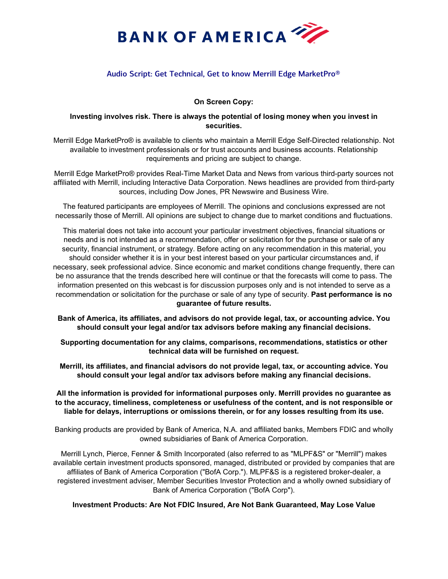

# Audio Script: Get Technical, Get to know Merrill Edge MarketPro®

# **On Screen Copy:**

## **Investing involves risk. There is always the potential of losing money when you invest in securities.**

Merrill Edge MarketPro® is available to clients who maintain a Merrill Edge Self-Directed relationship. Not available to investment professionals or for trust accounts and business accounts. Relationship requirements and pricing are subject to change.

Merrill Edge MarketPro® provides Real-Time Market Data and News from various third-party sources not affiliated with Merrill, including Interactive Data Corporation. News headlines are provided from third-party sources, including Dow Jones, PR Newswire and Business Wire.

The featured participants are employees of Merrill. The opinions and conclusions expressed are not necessarily those of Merrill. All opinions are subject to change due to market conditions and fluctuations.

This material does not take into account your particular investment objectives, financial situations or needs and is not intended as a recommendation, offer or solicitation for the purchase or sale of any security, financial instrument, or strategy. Before acting on any recommendation in this material, you should consider whether it is in your best interest based on your particular circumstances and, if necessary, seek professional advice. Since economic and market conditions change frequently, there can be no assurance that the trends described here will continue or that the forecasts will come to pass. The information presented on this webcast is for discussion purposes only and is not intended to serve as a recommendation or solicitation for the purchase or sale of any type of security. **Past performance is no guarantee of future results.** 

**Bank of America, its affiliates, and advisors do not provide legal, tax, or accounting advice. You should consult your legal and/or tax advisors before making any financial decisions.** 

**Supporting documentation for any claims, comparisons, recommendations, statistics or other technical data will be furnished on request.** 

**Merrill, its affiliates, and financial advisors do not provide legal, tax, or accounting advice. You should consult your legal and/or tax advisors before making any financial decisions.** 

**All the information is provided for informational purposes only. Merrill provides no guarantee as to the accuracy, timeliness, completeness or usefulness of the content, and is not responsible or liable for delays, interruptions or omissions therein, or for any losses resulting from its use.** 

Banking products are provided by Bank of America, N.A. and affiliated banks, Members FDIC and wholly owned subsidiaries of Bank of America Corporation.

Merrill Lynch, Pierce, Fenner & Smith Incorporated (also referred to as "MLPF&S" or "Merrill") makes available certain investment products sponsored, managed, distributed or provided by companies that are affiliates of Bank of America Corporation ("BofA Corp."). MLPF&S is a registered broker-dealer, a registered investment adviser, Member Securities Investor Protection and a wholly owned subsidiary of Bank of America Corporation ("BofA Corp").

**Investment Products: Are Not FDIC Insured, Are Not Bank Guaranteed, May Lose Value**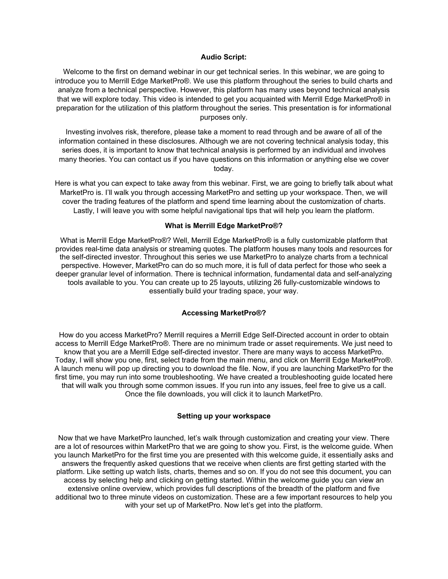#### **Audio Script:**

Welcome to the first on demand webinar in our get technical series. In this webinar, we are going to introduce you to Merrill Edge MarketPro®. We use this platform throughout the series to build charts and analyze from a technical perspective. However, this platform has many uses beyond technical analysis that we will explore today. This video is intended to get you acquainted with Merrill Edge MarketPro® in preparation for the utilization of this platform throughout the series. This presentation is for informational purposes only.

Investing involves risk, therefore, please take a moment to read through and be aware of all of the information contained in these disclosures. Although we are not covering technical analysis today, this series does, it is important to know that technical analysis is performed by an individual and involves many theories. You can contact us if you have questions on this information or anything else we cover today.

Here is what you can expect to take away from this webinar. First, we are going to briefly talk about what MarketPro is. I'll walk you through accessing MarketPro and setting up your workspace. Then, we will cover the trading features of the platform and spend time learning about the customization of charts. Lastly, I will leave you with some helpful navigational tips that will help you learn the platform.

# **What is Merrill Edge MarketPro®?**

What is Merrill Edge MarketPro®? Well, Merrill Edge MarketPro® is a fully customizable platform that provides real-time data analysis or streaming quotes. The platform houses many tools and resources for the self-directed investor. Throughout this series we use MarketPro to analyze charts from a technical perspective. However, MarketPro can do so much more, it is full of data perfect for those who seek a deeper granular level of information. There is technical information, fundamental data and self-analyzing tools available to you. You can create up to 25 layouts, utilizing 26 fully-customizable windows to essentially build your trading space, your way.

#### **Accessing MarketPro®?**

How do you access MarketPro? Merrill requires a Merrill Edge Self-Directed account in order to obtain access to Merrill Edge MarketPro®. There are no minimum trade or asset requirements. We just need to know that you are a Merrill Edge self-directed investor. There are many ways to access MarketPro. Today, I will show you one, first, select trade from the main menu, and click on Merrill Edge MarketPro®. A launch menu will pop up directing you to download the file. Now, if you are launching MarketPro for the first time, you may run into some troubleshooting. We have created a troubleshooting guide located here that will walk you through some common issues. If you run into any issues, feel free to give us a call. Once the file downloads, you will click it to launch MarketPro.

### **Setting up your workspace**

Now that we have MarketPro launched, let's walk through customization and creating your view. There are a lot of resources within MarketPro that we are going to show you. First, is the welcome guide. When you launch MarketPro for the first time you are presented with this welcome guide, it essentially asks and answers the frequently asked questions that we receive when clients are first getting started with the platform. Like setting up watch lists, charts, themes and so on. If you do not see this document, you can access by selecting help and clicking on getting started. Within the welcome guide you can view an extensive online overview, which provides full descriptions of the breadth of the platform and five additional two to three minute videos on customization. These are a few important resources to help you with your set up of MarketPro. Now let's get into the platform.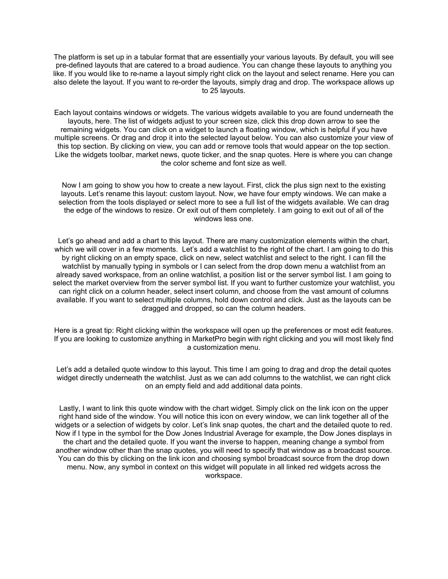The platform is set up in a tabular format that are essentially your various layouts. By default, you will see pre-defined layouts that are catered to a broad audience. You can change these layouts to anything you like. If you would like to re-name a layout simply right click on the layout and select rename. Here you can also delete the layout. If you want to re-order the layouts, simply drag and drop. The workspace allows up to 25 layouts.

Each layout contains windows or widgets. The various widgets available to you are found underneath the layouts, here. The list of widgets adjust to your screen size, click this drop down arrow to see the remaining widgets. You can click on a widget to launch a floating window, which is helpful if you have multiple screens. Or drag and drop it into the selected layout below. You can also customize your view of this top section. By clicking on view, you can add or remove tools that would appear on the top section. Like the widgets toolbar, market news, quote ticker, and the snap quotes. Here is where you can change the color scheme and font size as well.

Now I am going to show you how to create a new layout. First, click the plus sign next to the existing layouts. Let's rename this layout: custom layout. Now, we have four empty windows. We can make a selection from the tools displayed or select more to see a full list of the widgets available. We can drag the edge of the windows to resize. Or exit out of them completely. I am going to exit out of all of the windows less one.

Let's go ahead and add a chart to this layout. There are many customization elements within the chart, which we will cover in a few moments. Let's add a watchlist to the right of the chart. I am going to do this by right clicking on an empty space, click on new, select watchlist and select to the right. I can fill the watchlist by manually typing in symbols or I can select from the drop down menu a watchlist from an already saved workspace, from an online watchlist, a position list or the server symbol list. I am going to select the market overview from the server symbol list. If you want to further customize your watchlist, you can right click on a column header, select insert column, and choose from the vast amount of columns available. If you want to select multiple columns, hold down control and click. Just as the layouts can be dragged and dropped, so can the column headers.

Here is a great tip: Right clicking within the workspace will open up the preferences or most edit features. If you are looking to customize anything in MarketPro begin with right clicking and you will most likely find a customization menu.

Let's add a detailed quote window to this layout. This time I am going to drag and drop the detail quotes widget directly underneath the watchlist. Just as we can add columns to the watchlist, we can right click on an empty field and add additional data points.

Lastly, I want to link this quote window with the chart widget. Simply click on the link icon on the upper right hand side of the window. You will notice this icon on every window, we can link together all of the widgets or a selection of widgets by color. Let's link snap quotes, the chart and the detailed quote to red. Now if I type in the symbol for the Dow Jones Industrial Average for example, the Dow Jones displays in the chart and the detailed quote. If you want the inverse to happen, meaning change a symbol from another window other than the snap quotes, you will need to specify that window as a broadcast source. You can do this by clicking on the link icon and choosing symbol broadcast source from the drop down menu. Now, any symbol in context on this widget will populate in all linked red widgets across the workspace.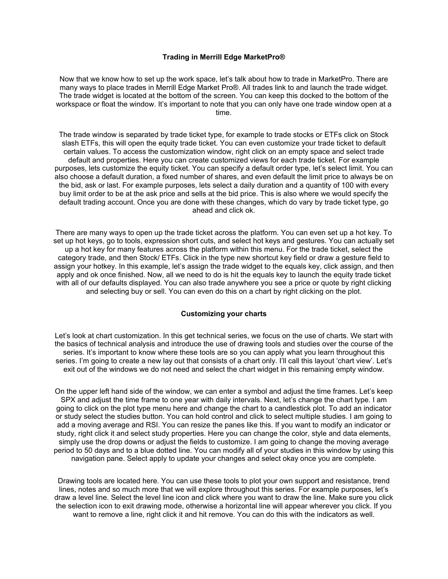#### **Trading in Merrill Edge MarketPro®**

Now that we know how to set up the work space, let's talk about how to trade in MarketPro. There are many ways to place trades in Merrill Edge Market Pro®. All trades link to and launch the trade widget. The trade widget is located at the bottom of the screen. You can keep this docked to the bottom of the workspace or float the window. It's important to note that you can only have one trade window open at a time.

The trade window is separated by trade ticket type, for example to trade stocks or ETFs click on Stock slash ETFs, this will open the equity trade ticket. You can even customize your trade ticket to default certain values. To access the customization window, right click on an empty space and select trade default and properties. Here you can create customized views for each trade ticket. For example purposes, lets customize the equity ticket. You can specify a default order type, let's select limit. You can also choose a default duration, a fixed number of shares, and even default the limit price to always be on the bid, ask or last. For example purposes, lets select a daily duration and a quantity of 100 with every buy limit order to be at the ask price and sells at the bid price. This is also where we would specify the default trading account. Once you are done with these changes, which do vary by trade ticket type, go ahead and click ok.

There are many ways to open up the trade ticket across the platform. You can even set up a hot key. To set up hot keys, go to tools, expression short cuts, and select hot keys and gestures. You can actually set up a hot key for many features across the platform within this menu. For the trade ticket, select the category trade, and then Stock/ ETFs. Click in the type new shortcut key field or draw a gesture field to assign your hotkey. In this example, let's assign the trade widget to the equals key, click assign, and then apply and ok once finished. Now, all we need to do is hit the equals key to launch the equity trade ticket with all of our defaults displayed. You can also trade anywhere you see a price or quote by right clicking and selecting buy or sell. You can even do this on a chart by right clicking on the plot.

### **Customizing your charts**

Let's look at chart customization. In this get technical series, we focus on the use of charts. We start with the basics of technical analysis and introduce the use of drawing tools and studies over the course of the series. It's important to know where these tools are so you can apply what you learn throughout this series. I'm going to create a new lay out that consists of a chart only. I'll call this layout 'chart view'. Let's exit out of the windows we do not need and select the chart widget in this remaining empty window.

On the upper left hand side of the window, we can enter a symbol and adjust the time frames. Let's keep SPX and adjust the time frame to one year with daily intervals. Next, let's change the chart type. I am going to click on the plot type menu here and change the chart to a candlestick plot. To add an indicator or study select the studies button. You can hold control and click to select multiple studies. I am going to add a moving average and RSI. You can resize the panes like this. If you want to modify an indicator or study, right click it and select study properties. Here you can change the color, style and data elements, simply use the drop downs or adjust the fields to customize. I am going to change the moving average period to 50 days and to a blue dotted line. You can modify all of your studies in this window by using this navigation pane. Select apply to update your changes and select okay once you are complete.

Drawing tools are located here. You can use these tools to plot your own support and resistance, trend lines, notes and so much more that we will explore throughout this series. For example purposes, let's draw a level line. Select the level line icon and click where you want to draw the line. Make sure you click the selection icon to exit drawing mode, otherwise a horizontal line will appear wherever you click. If you want to remove a line, right click it and hit remove. You can do this with the indicators as well.